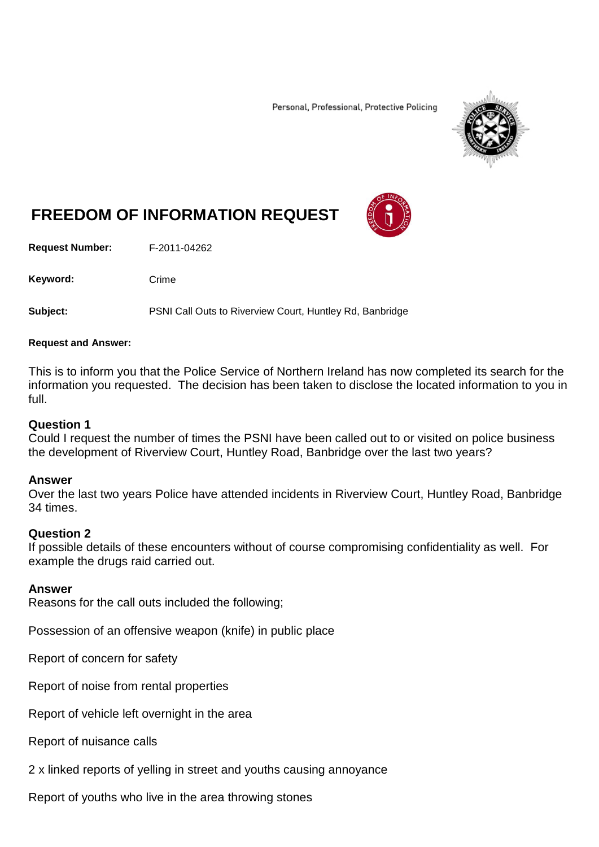Personal, Professional, Protective Policing



# **FREEDOM OF INFORMATION REQUEST**

**Request Number:** F-2011-04262

Keyword: Crime

**Subject:** PSNI Call Outs to Riverview Court, Huntley Rd, Banbridge

#### **Request and Answer:**

This is to inform you that the Police Service of Northern Ireland has now completed its search for the information you requested. The decision has been taken to disclose the located information to you in full.

### **Question 1**

Could I request the number of times the PSNI have been called out to or visited on police business the development of Riverview Court, Huntley Road, Banbridge over the last two years?

### **Answer**

Over the last two years Police have attended incidents in Riverview Court, Huntley Road, Banbridge 34 times.

### **Question 2**

If possible details of these encounters without of course compromising confidentiality as well. For example the drugs raid carried out.

### **Answer**

Reasons for the call outs included the following;

Possession of an offensive weapon (knife) in public place

Report of concern for safety

Report of noise from rental properties

Report of vehicle left overnight in the area

Report of nuisance calls

2 x linked reports of yelling in street and youths causing annoyance

Report of youths who live in the area throwing stones